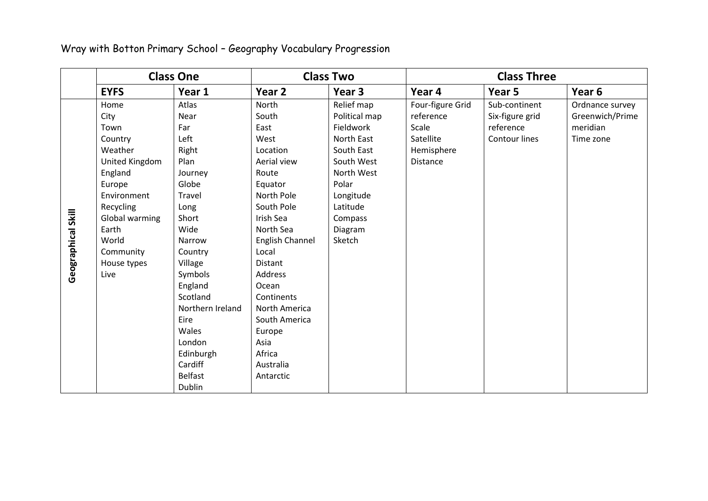Wray with Botton Primary School – Geography Vocabulary Progression

|                    | <b>Class One</b>                                                                                           |                                                                                                                                                                                                                      | <b>Class Two</b>                                                                                                                                                                                                               |                                                                                                  | <b>Class Three</b>                                                            |                                                                |                                                             |
|--------------------|------------------------------------------------------------------------------------------------------------|----------------------------------------------------------------------------------------------------------------------------------------------------------------------------------------------------------------------|--------------------------------------------------------------------------------------------------------------------------------------------------------------------------------------------------------------------------------|--------------------------------------------------------------------------------------------------|-------------------------------------------------------------------------------|----------------------------------------------------------------|-------------------------------------------------------------|
|                    | <b>EYFS</b>                                                                                                | Year 1                                                                                                                                                                                                               | Year 2                                                                                                                                                                                                                         | Year 3                                                                                           | Year 4                                                                        | Year 5                                                         | Year 6                                                      |
|                    | Home<br>City<br>Town<br>Country<br>Weather<br>United Kingdom<br>England                                    | Atlas<br>Near<br>Far<br>Left<br>Right<br>Plan<br>Journey                                                                                                                                                             | North<br>South<br>East<br>West<br>Location<br>Aerial view<br>Route                                                                                                                                                             | Relief map<br>Political map<br>Fieldwork<br>North East<br>South East<br>South West<br>North West | Four-figure Grid<br>reference<br>Scale<br>Satellite<br>Hemisphere<br>Distance | Sub-continent<br>Six-figure grid<br>reference<br>Contour lines | Ordnance survey<br>Greenwich/Prime<br>meridian<br>Time zone |
| Geographical Skill | Europe<br>Environment<br>Recycling<br>Global warming<br>Earth<br>World<br>Community<br>House types<br>Live | Globe<br>Travel<br>Long<br>Short<br>Wide<br>Narrow<br>Country<br>Village<br>Symbols<br>England<br>Scotland<br>Northern Ireland<br>Eire<br>Wales<br>London<br>Edinburgh<br>Cardiff<br><b>Belfast</b><br><b>Dublin</b> | Equator<br>North Pole<br>South Pole<br>Irish Sea<br>North Sea<br>English Channel<br>Local<br>Distant<br>Address<br>Ocean<br>Continents<br>North America<br>South America<br>Europe<br>Asia<br>Africa<br>Australia<br>Antarctic | Polar<br>Longitude<br>Latitude<br>Compass<br>Diagram<br>Sketch                                   |                                                                               |                                                                |                                                             |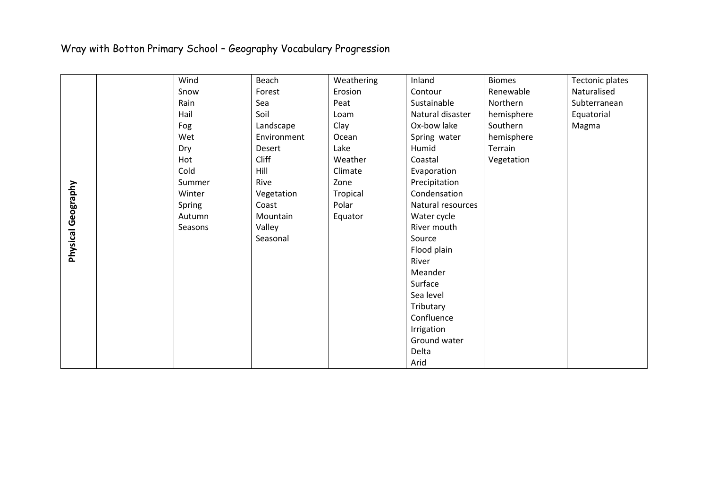## Wray with Botton Primary School – Geography Vocabulary Progression

|                    | Wind    | Beach       | Weathering | Inland            | <b>Biomes</b> | Tectonic plates |
|--------------------|---------|-------------|------------|-------------------|---------------|-----------------|
| Physical Geography | Snow    | Forest      | Erosion    | Contour           | Renewable     | Naturalised     |
|                    | Rain    | Sea         | Peat       | Sustainable       | Northern      | Subterranean    |
|                    | Hail    | Soil        | Loam       | Natural disaster  | hemisphere    | Equatorial      |
|                    | Fog     | Landscape   | Clay       | Ox-bow lake       | Southern      | Magma           |
|                    | Wet     | Environment | Ocean      | Spring water      | hemisphere    |                 |
|                    | Dry     | Desert      | Lake       | Humid             | Terrain       |                 |
|                    | Hot     | Cliff       | Weather    | Coastal           | Vegetation    |                 |
|                    | Cold    | Hill        | Climate    | Evaporation       |               |                 |
|                    | Summer  | Rive        | Zone       | Precipitation     |               |                 |
|                    | Winter  | Vegetation  | Tropical   | Condensation      |               |                 |
|                    | Spring  | Coast       | Polar      | Natural resources |               |                 |
|                    | Autumn  | Mountain    | Equator    | Water cycle       |               |                 |
|                    | Seasons | Valley      |            | River mouth       |               |                 |
|                    |         | Seasonal    |            | Source            |               |                 |
|                    |         |             |            | Flood plain       |               |                 |
|                    |         |             |            | River             |               |                 |
|                    |         |             |            | Meander           |               |                 |
|                    |         |             |            | Surface           |               |                 |
|                    |         |             |            | Sea level         |               |                 |
|                    |         |             |            | Tributary         |               |                 |
|                    |         |             |            | Confluence        |               |                 |
|                    |         |             |            | Irrigation        |               |                 |
|                    |         |             |            | Ground water      |               |                 |
|                    |         |             |            | Delta             |               |                 |
|                    |         |             |            | Arid              |               |                 |